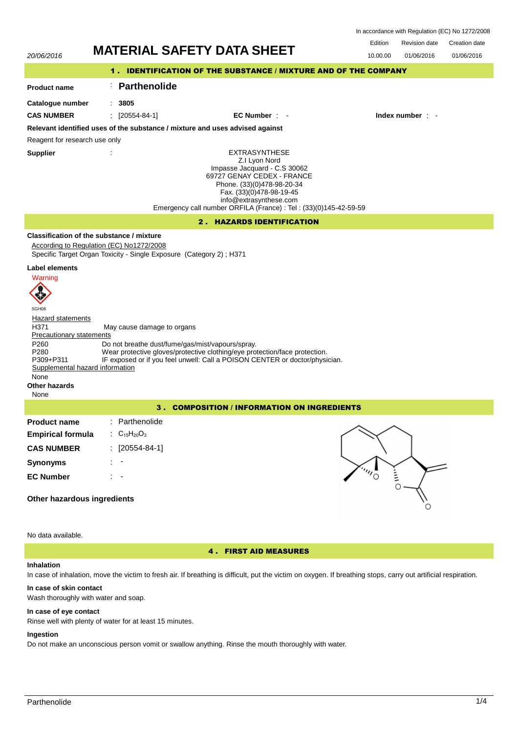|                     |                                                                            |               | Edition  | Revision date          | Creation date |  |
|---------------------|----------------------------------------------------------------------------|---------------|----------|------------------------|---------------|--|
| 20/06/2016          | <b>MATERIAL SAFETY DATA SHEET</b>                                          |               | 10.00.00 | 01/06/2016             | 01/06/2016    |  |
|                     | <b>IDENTIFICATION OF THE SUBSTANCE / MIXTURE AND OF THE COMPANY</b><br>1.7 |               |          |                        |               |  |
| <b>Product name</b> | Parthenolide                                                               |               |          |                        |               |  |
| Cataloque number    | 3805                                                                       |               |          |                        |               |  |
| <b>CAS NUMBER</b>   | $[20554-84-1]$                                                             | EC Number : - |          | Index number $\cdot$ - |               |  |

In accordance with Regulation (EC) No 1272/2008

**Relevant identified uses of the substance / mixture and uses advised against**

Reagent for research use only

**Supplier** :

> EXTRASYNTHESE Z.I Lyon Nord Impasse Jacquard - C.S 30062 69727 GENAY CEDEX - FRANCE Phone. (33)(0)478-98-20-34 Fax. (33)(0)478-98-19-45 info@extrasynthese.com Emergency call number ORFILA (France) : Tel : (33)(0)145-42-59-59

# 2 . HAZARDS IDENTIFICATION

# **Classification of the substance / mixture**

According to Regulation (EC) No1272/2008 Specific Target Organ Toxicity - Single Exposure (Category 2) ; H371

## **Label elements**



SGH08 Hazard statements H371 May cause damage to organs Precautionary statements P260 Do not breathe dust/fume/gas/mist/vapours/spray.<br>P280 Wear protective gloves/protective clothing/eye protective P280 Wear protective gloves/protective clothing/eye protection/face protection.<br>P309+P311 IF exposed or if you feel unwell: Call a POISON CENTER or doctor/physi IF exposed or if you feel unwell: Call a POISON CENTER or doctor/physician. Supplemental hazard information None

#### **Other hazards** None

3 . COMPOSITION / INFORMATION ON INGREDIENTS

| <b>Product name</b>      | : Parthenolide      |
|--------------------------|---------------------|
| <b>Empirical formula</b> | : $C_{15}H_{20}O_3$ |
| <b>CAS NUMBER</b>        | : [20554-84-1]      |
| <b>Synonyms</b>          |                     |
| <b>EC Number</b>         |                     |



No data available.

**Other hazardous ingredients**

4 . FIRST AID MEASURES

### **Inhalation**

In case of inhalation, move the victim to fresh air. If breathing is difficult, put the victim on oxygen. If breathing stops, carry out artificial respiration.

### **In case of skin contact**

Wash thoroughly with water and soap.

## **In case of eye contact**

Rinse well with plenty of water for at least 15 minutes.

# **Ingestion**

Do not make an unconscious person vomit or swallow anything. Rinse the mouth thoroughly with water.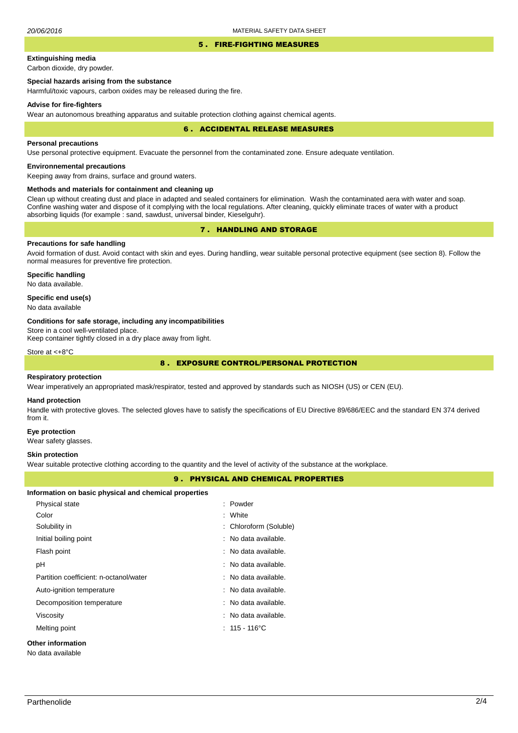#### 5 . FIRE-FIGHTING MEASURES

# **Extinguishing media**

Carbon dioxide, dry powder.

# **Special hazards arising from the substance**

Harmful/toxic vapours, carbon oxides may be released during the fire.

#### **Advise for fire-fighters**

Wear an autonomous breathing apparatus and suitable protection clothing against chemical agents.

#### 6 . ACCIDENTAL RELEASE MEASURES

### **Personal precautions**

Use personal protective equipment. Evacuate the personnel from the contaminated zone. Ensure adequate ventilation.

## **Environnemental precautions**

Keeping away from drains, surface and ground waters.

### **Methods and materials for containment and cleaning up**

Clean up without creating dust and place in adapted and sealed containers for elimination. Wash the contaminated aera with water and soap. Confine washing water and dispose of it complying with the local regulations. After cleaning, quickly eliminate traces of water with a product absorbing liquids (for example : sand, sawdust, universal binder, Kieselguhr).

# 7 . HANDLING AND STORAGE

# **Precautions for safe handling**

Avoid formation of dust. Avoid contact with skin and eyes. During handling, wear suitable personal protective equipment (see section 8). Follow the normal measures for preventive fire protection.

**Specific handling** No data available.

### **Specific end use(s)**

No data available

#### **Conditions for safe storage, including any incompatibilities**

Store in a cool well-ventilated place.

Keep container tightly closed in a dry place away from light.

Store at <+8°C

## 8 . EXPOSURE CONTROL/PERSONAL PROTECTION

#### **Respiratory protection**

Wear imperatively an appropriated mask/respirator, tested and approved by standards such as NIOSH (US) or CEN (EU).

#### **Hand protection**

Handle with protective gloves. The selected gloves have to satisfy the specifications of EU Directive 89/686/EEC and the standard EN 374 derived from it.

#### **Eye protection**

Wear safety glasses.

#### **Skin protection**

Wear suitable protective clothing according to the quantity and the level of activity of the substance at the workplace.

## 9 . PHYSICAL AND CHEMICAL PROPERTIES

| Information on basic physical and chemical properties |                                 |
|-------------------------------------------------------|---------------------------------|
| Physical state                                        | : Powder                        |
| Color                                                 | : White                         |
| Solubility in                                         | : Chloroform (Soluble)          |
| Initial boiling point                                 | : No data available.            |
| Flash point                                           | : No data available.            |
| рH                                                    | : No data available.            |
| Partition coefficient: n-octanol/water                | $\therefore$ No data available. |
| Auto-ignition temperature                             | $\therefore$ No data available. |
| Decomposition temperature                             | $\therefore$ No data available. |
| Viscosity                                             | $\therefore$ No data available. |
| Melting point                                         | $: 115 - 116^{\circ}$ C         |
| Other information                                     |                                 |

No data available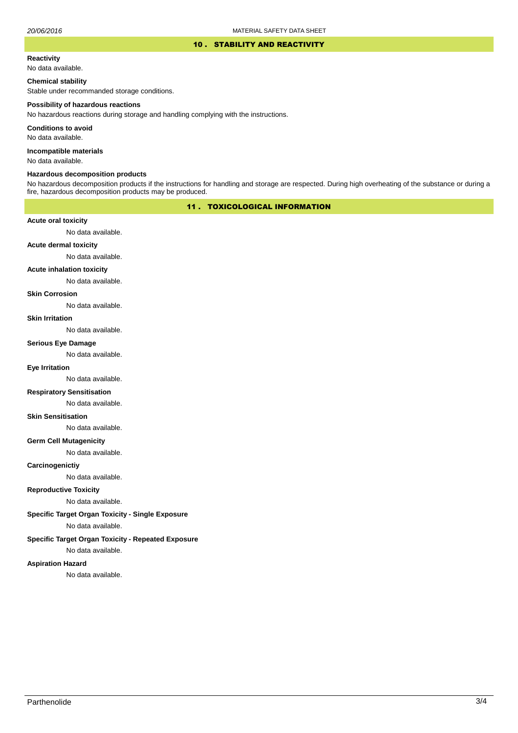### 10 . STABILITY AND REACTIVITY

#### **Reactivity**

No data available.

# **Chemical stability**

Stable under recommanded storage conditions.

#### **Possibility of hazardous reactions**

No hazardous reactions during storage and handling complying with the instructions.

**Conditions to avoid**

No data available.

**Incompatible materials**

No data available.

## **Hazardous decomposition products**

No hazardous decomposition products if the instructions for handling and storage are respected. During high overheating of the substance or during a fire, hazardous decomposition products may be produced.

# 11 . TOXICOLOGICAL INFORMATION

### **Acute oral toxicity**

No data available.

# **Acute dermal toxicity**

No data available.

#### **Acute inhalation toxicity**

No data available.

## **Skin Corrosion**

No data available.

#### **Skin Irritation**

No data available.

# **Serious Eye Damage**

No data available.

## **Eye Irritation**

No data available.

### **Respiratory Sensitisation**

No data available.

### **Skin Sensitisation**

No data available.

### **Germ Cell Mutagenicity**

No data available.

### **Carcinogenictiy**

No data available.

# **Reproductive Toxicity**

No data available.

### **Specific Target Organ Toxicity - Single Exposure**

No data available.

## **Specific Target Organ Toxicity - Repeated Exposure**

No data available.

### **Aspiration Hazard**

No data available.